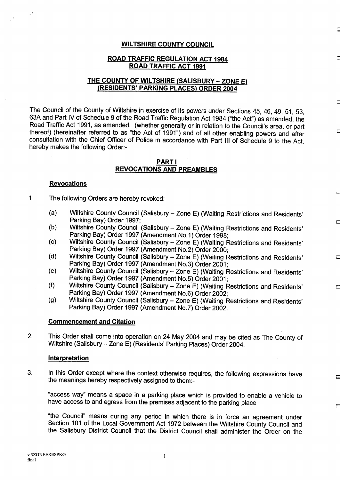#### WILTSHIRE COUNTY COUNCIL

### ROAD TRAFFIC REGULATION ACT <sup>1984</sup> ROAD TRAFFIC ACT <sup>1991</sup>

### THE COUNTY OF WILTSHIRE (SALISBURY - ZONE E) (RESIDENTS' PARKING PLACES) ORDER 2004

The Council of the County of Wiltshire in exercise of its powers under Sections 45, 46, 49, 51, 53, 63A and Part IV of Schedule <sup>9</sup> of the Road Traffic Regulation Act 1984 ("the Act") as amended, the Road Traffic Act 1991, as amended, (whether generally or in relation to the Council's area, or part thereof) (hereinafter referred to as "the Act of 1991") and of all other enabling powers and after consultation with the Chief Officer of Police in accordance with Part III of Schedule <sup>9</sup> to the Act, hereby makes the following Order:-

#### PART <sup>I</sup> REVOCATIONS AND PREAMBLES

#### Revocations

#### $\mathbf{1}$ . The following Orders are hereby revoked:

- (a) Wiltshire County Council (Salisbury Zone E) (Waiting Restrictions and Residents' Parking Bay) Order 1997;
- (b) Wiltshire County Council (Salisbury Zone E) (Waiting Restrictions and Residents' Parking Bay) Order 1997 (Amendment No. 1) Order 1998;
- (c) Wiltshire County Council (Salisbury Zone E) (Waiting Restrictions and Residents' Parking Bay) Order 1997 (Amendment No.2) Order 2000;
- (d) Wiltshire County Council (Salisbury Zone E) (Waiting Restrictions and Residents' Parking Bay) Order 1997 (Amendment No.3) Order 2001;
- (e) Wiltshire County Council (Salisbury Zone E) (Waiting Restrictions and Residents' Parking Bay) Order 1997 (Amendment No.5) Order 2001;
- (f) Wiltshire County Council (Salisbury Zone E) (Waiting Restrictions and Residents' Parking Bay) Order 1997 (Amendment No.6) Order 2002;
- (g) Wiltshire County Council (Salisbury Zone E) (Waiting Restrictions and Residents' Parking Bay) Order 1997 (Amendment No.7) Order 2002.

#### Commencement and Citation

2. This Order shall come into operation on 24 May 2004 and may be cited as The County of Wiltshire (Salisbury - Zone E) (Residents' Parking Places) Order 2004.

#### **Interpretation**

3. In this Order except where the context otherwise requires, the following expressions have the meanings hereby respectively assigned to them:-

"access way" means a space in a parking place which is provided to enable a vehicle to have access to and egress from the premises adjacent to the parking place

"the Council" means during any period in which there is in force an agreement under Section 101 of the Local Government Act 1972 between the Wiltshire County Council and the Salisbury District Council that the District Council shall administer the Order on the

 $\mathbf{1}$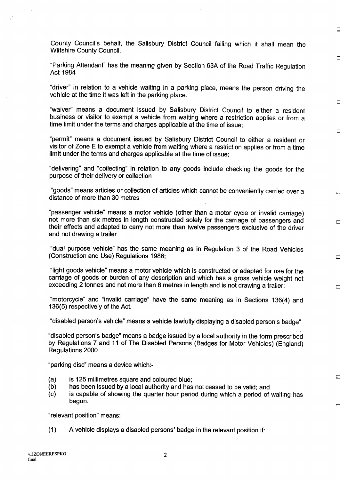County Council's behalf, the Salisbury District Council failing which it shall mean the Wiltshire County Council.

"Parking Attendant" has the meaning given by Section 63A of the Road Traffic Regulation Act 1984

"driver" in relation to a vehicle waiting in a parking place, means the person driving the vehicle at the time it was left in the parking place.

"waiver" means a document issued by Salisbury District Council to either a resident business or visitor to exempt a vehicle from waiting where a restriction applies or from a time limit under the terms and charges applicable at the time of issue;

"permit" means a document issued by Salisbury District Council to either a resident or visitor of Zone E to exempt a vehicle from waiting where a restriction applies or from a time limit under the terms and charges applicable at the time of issue;

"delivering" and "collecting" in relation to any goods include checking the goods for the purpose of their delivery or collection

"goods" means articles or collection of articles which cannot be conveniently carried over a distance of more than 30 metres

"passenger vehicle" means a motor vehicle (other than a motor cycle or invalid carriage) not more than six metres in length constructed solely for the carriage of passengers and their effects and adapted to carry not more than twelve passengers exclusive of the driver and not drawing a trailer

"dual purpose vehicle" has the same meaning as in Regulation 3 of the Road Vehicles (Construction and Use) Regulations 1986;

"light goods vehicle" means a motor vehicle which is constructed or adapted for use for the carriage of goods or burden of any description and which has a gross vehicle weight not exceeding 2 tonnes and not more than 6 metres in length and is not drawing a trailer;

"motorcycle" and "invalid carriage" have the same meaning as in Sections 136(4) and 136(5) respectively of the Act.

"disabled person's vehicle" means a vehicle lawfully displaying a disabled person's badge"

"disabled person's badge" means a badge issued by a local authority in the form prescribed by Regulations 7 and 11 of The Disabled Persons (Badges for Motor Vehicles) (England) Regulations 2000

"parking disc" means a device which:-

- (a) is 125 millimetres square and coloured blue;<br>(b) has been issued by a local authority and has
- (b) has been issued by a local authority and has not ceased to be valid; and  $(c)$  is capable of showing the quarter hour period during which a period of
- is capable of showing the quarter hour period during which a period of waiting has begun.

 $\Box$ 

"relevant position" means:

(1) A vehicle displays <sup>a</sup> disabled persons' badge in the relevant position if :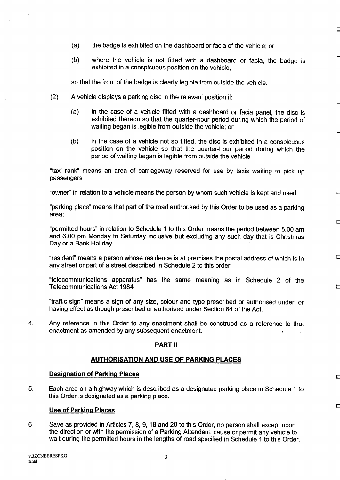- (a) the badge is exhibited on the dashboard or facia of the vehicle; or
- (b) where the vehicle is not fitted with a dashboard or facia, the badge is exhibited in a conspicuous position on the vehicle;

so that the front of the badge is clearly legible from outside the vehicle.

- (2) A vehicle displays a parking disc in the relevant position if:
	- (a) in the case of a vehicle fitted with a dashboard or facia panel, the disc is exhibited thereon so that the quarter-hour period during which the period of waiting began is legible from outside the vehicle; or
	- (b) in the case of a vehicle not so fitted, the disc is exhibited in a conspicuous position on the vehicle so that the quarter-hour period during which the period of waiting began is legible from outside the vehicle

"taxi rank" means an area of carriageway reserved for use by taxis waiting to pick up passengers

"owner" in relation to a vehicle means the person by whom such vehicle is kept and used.

"parking place" means that part of the road authorised by this Order to be used as a parking area;

"permitted hours" in relation to Schedule <sup>1</sup> to this Order means the period between 8.00 am and 6 .00 pm Monday to Saturday inclusive but excluding any such day that is Christmas Day or a Bank Holiday

"resident" means a person whose residence is at premises the postal address of which is in any street or part of a street described in Schedule 2 to this order.

"telecommunications apparatus" has the same meaning as in Schedule 2 of the Telecommunications Act 1984

"traffic sign" means a sign of any size, colour and type prescribed or authorised under, or having effect as though prescribed or authorised under Section 64 of the Act.

4. Any reference in this Order to any enactment shall be construed as a reference to that enactment as amended by any subsequent enactment.

### PART <sup>11</sup>

### AUTHORISATION AND USE OF PARKING PLACES

## Designation of Parking Places

5. Each area on a highway which is described as a designated parking place in Schedule <sup>1</sup> to this Order is designated as a parking place.

#### Use of Parking Places

6 Save as provided in Articles 7, 8, 9, 18 and 20 to this Order, no person shall except upon the direction or with the permission of a Parking Attendant, cause or permit any vehicle to wait during the permitted hours in the lengths of road specified in Schedule <sup>1</sup> to this Order.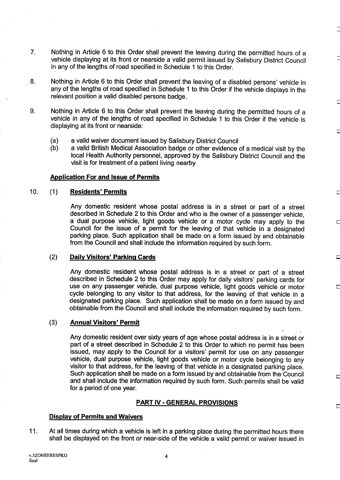- 7. Nothing in Article 6 to this Order shall prevent the leaving during the permitted hours of a vehicle displaying at its front or nearside a valid permit issued by Salisbury District Council in any of the lengths of road specified in Schedule 1 to this Order.
- 8. Nothing in Article 6 to this Order shall prevent the leaving of a disabled persons' vehicle in any of the lengths of road specified in Schedule <sup>1</sup> to this Order if the vehicle displays in the relevant position a valid disabled persons badge.
- 9. Nothing in Article 6 to this Order shall prevent the leaving during the permitted hours of a vehicle in any of the lengths of road specified in Schedule <sup>1</sup> to this Order if the vehicle is displaying at its front or nearside:
	- (a) a valid waiver document issued by Salisbury District Council
	- a valid British Medical Association badge or other evidence of a medical visit by the local Health Authority personnel, approved by the Salisbury District Council and the visit is for treatment of a patient living nearby

### Application For and Issue of Permits

#### $10.$ Residents' Permits  $(1)$

Any domestic resident whose postal address is in a street or part of a street described in Schedule 2 to this Order and who is the owner of a passenger vehicle, a dual purpose vehicle, light goods vehicle or a motor cycle may apply to the Council for the issue of a permit for the leaving of that vehicle in a designated parking place. Such application shall be made on a form issued by and obtainable from the Council and shall include the information required by such form.

#### $(2)$ Daily Visitors' Parking Cards

Any domestic resident whose postal address is in a street or part of a street described in Schedule 2 to this Order may apply for daily visitors' parking cards for use on any passenger vehicle, dual purpose vehicle, light goods vehicle or motor cycle belonging to any visitor to that address, for the leaving of that vehicle in a designated parking place. Such application shall be made on a form issued by and obtainable from the Council and shall include the information required by such form .

#### $(3)$ Annual Visitors' Permit

Any domestic resident over sixty years of age whose postal address is in a street or part of a street described in Schedule 2 to this Order to which no permit has been issued, may apply to the Council for a visitors' permit for use on any passenger vehicle, dual purpose vehicle, light goods vehicle or motor cycle belonging to any visitor to that address, for the leaving of that vehicle in a designated parking place. Such application shall be made on a form issued by and obtainable from the Council and shall include the information required by such form. Such permits shall be valid for a period of one year.

 $\overline{\phantom{a}}$ 

 $\Box$ 

### PART IV - GENERAL PROVISIONS

### Display of Permits and Waivers

11. At all times during which a vehicle is left in a parking place during the permitted hours there shall be displayed on the front or near-side of the vehicle a valid permit or waiver issued in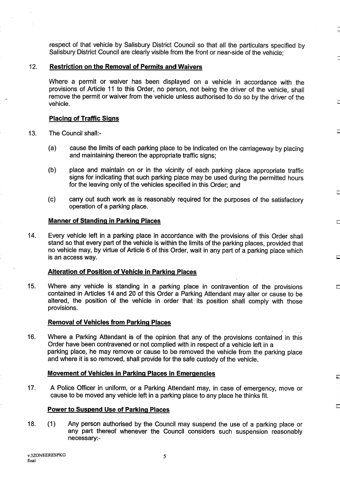respect of that vehicle by Salisbury District Council so that all the particulars specified by Salisbury District Council are clearly visible from the front or near-side of the vehicle;

#### 12. Restriction on the Removal of Permits and Waivers

Where a permit or waiver has been displayed on a vehicle in accordance with the provisions of Article <sup>11</sup> to this Order, no person, not being the driver of the vehicle, shall remove the permit or waiver from the vehicle unless authorised to do so by the driver of the vehicle.

#### **Placing of Traffic Signs**

- 13. The Council shall:-
	- (a) cause the limits of each parking place to be indicated on the carriageway by placing and maintaining thereon the appropriate traffic signs;
	- (b) place and maintain on or in the vicinity of each parking place appropriate traffic signs for indicating that such parking place may be used during the permitted hours for the leaving only of the vehicles specified in this Order; and
	- $(c)$ carry out such work as is reasonably required for the purposes of the satisfactory operation of a parking place.

#### **Manner of Standing in Parking Places**

14. Every vehicle left in a parking place in accordance with the provisions of this Order shall stand so that every part of the vehicle is within the limits of the parking places, provided that no vehicle may, by virtue of Article 6 of this Order, wait in any part of a parking place which is an access way.

#### Alteration of Position of Vehicle in Parking\_Places

15. Where any vehicle is standing in a parking place in contravention of the provisions contained in Articles 14 and 20 of this Order a Parking Attendant may alter or cause to be altered, the position of the vehicle in order that its position shall comply with those provisions.

### Removal of Vehicles from Parking Places

16. Where a Parking Attendant is of the opinion that any of the provisions contained in this Order have been contravened or not complied with in respect of a vehicle left in a parking place, he may remove or cause to be removed the vehicle from the parking place and where it is so removed, shall provide for the safe custody of the vehicle.

#### Movement of Vehicles in Parking Places in Emergencies

17. A Police Officer in uniform, or a Parking Attendant may, in case of emergency, move or cause to be moved any vehicle left in a parking place to any place he thinks fit.

Б.

 $\overline{\phantom{a}}$ 

### Power to Suspend Use of Parking Places

 $18.$  $(1)$ Any person authorised by the Council may suspend the use of a parking place or any part thereof whenever the Council considers such suspension reasonably necessary:-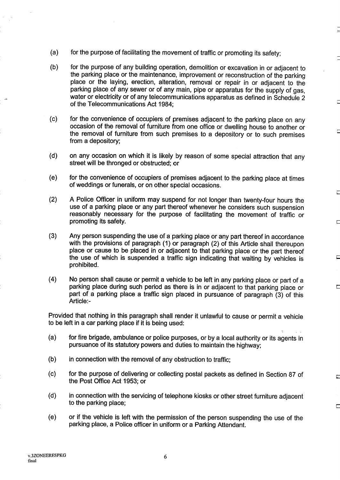- (a) for the purpose of facilitating the movement of traffic or promoting its safety;
- (b) for the purpose of any building operation, demolition or excavation in or adjacent to the parking place or the maintenance, improvement or reconstruction of the parking place or the laying, erection, alteration, removal or repair in or adjacent to the parking place of any sewer or of any main, pipe or apparatus for the supply of gas, water or electricity or of any telecommunications apparatus as defined in Schedule 2 of the Telecommunications Act 1984;

 $\Box$ 

E

 $\overline{ }$ 

 $\Box$ 

E

- (c) for the convenience of occupiers of premises adjacent to the parking place on any occasion of the removal of furniture from one office or dwelling house to another or the removal of furniture from such premises to a depository or to such premises from a depository;
- (d) on any occasion on which it is likely by reason of some special attraction that any street will be thronged or obstructed; or
- (e) for the convenience of occupiers of premises adjacent to the parking place at times of weddings or funerals, or on other special occasions.
- (2) A Police Officer in uniform may suspend for not longer than twenty-four hours the use of a parking place or any part thereof whenever he considers such suspension reasonably necessary for the purpose of facilitating the movement of traffic or promoting its safety.
- $(3)$ Any person suspending the use of a parking place or any part thereof in accordance with the provisions of paragraph (1) or paragraph (2) of this Article shall thereupon place or cause to be placed in or adjacent to that parking place or the part thereof the use of which is suspended a traffic sign indicating that waiting by vehicles is prohibited.
- (4) No person shall cause or permit a vehicle to be left in any parking place or part of a parking place during such period as there is in or adjacent to that parking place or part of a parking place a traffic sign placed in pursuance of paragraph (3) of this Article:-

Provided that nothing in this paragraph shall render it unlawful to cause or permit a vehicle to be left in a car parking place if it is being used:

- (a) for fire brigade, ambulance or police purposes, or by a local authority or its agents in pursuance of its statutory powers and duties to maintain the highway;
- (b) in connection with the removal of any obstruction to traffic;
- (c) for the purpose of delivering or collecting postal packets as defined in Section 87 of the Post Office Act 1953; or
- (d) in connection with the servicing of telephone kiosks or other street furniture adjacent to the parking place;
- (e) or if the vehicle is left with the permission of the person suspending the use of the parking place, a Police officer in uniform or a Parking Attendant.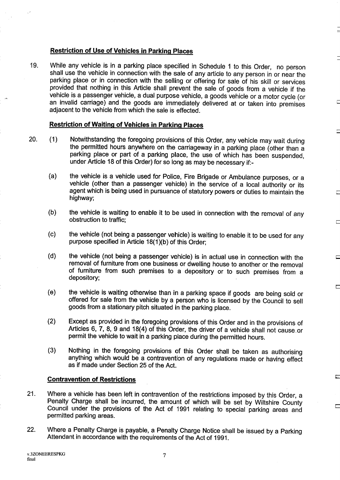### Restriction of Use of Vehicles in Parking Places

19. While any vehicle is in a parking place specified in Schedule <sup>1</sup> to this Order, no person parking place or in connection with the selling or offering for sale of his skill or services<br>provided that nothing in this Article shall prevent the sale of goods from a vehicle if the<br>vehicle is a passenger vehicle, a du an invalid carriage) and the goods are immediately delivered at or taken into premises adjacent to the vehicle from which the sale is effected.

#### Restriction of Waiting of Vehicles in Parking Places

- 20. (1) Notwithstanding the foregoing provisions of this Order, any vehicle may wait during the permitted hours anywhere on the carriageway in a parking place (other than a parking place or part of a parking place, the use of which has been suspended, under Article 18 of this Order) for so long as may be necessary if:-
	- (a) the vehicle is a vehicle used for Police, Fire Brigade or Ambulance purposes, or a vehicle (other than a passenger vehicle) in the service of a local authority or its agent which is being used in pursuance of statutory powers or duties to maintain the highway;
	- (b) the vehicle is waiting to enable it to be used in connection with the removal of any obstruction to traffic;
	- (c) the vehicle (not being a passenger vehicle) is waiting to enable it to be used for any purpose specified in Article 18(1)(b) of this Order;
	- (d) the vehicle (not being <sup>a</sup> passenger vehicle) is in actual use in connection with the removal of furniture from one business or dwelling house to another or the removal of furniture from such premises to a depository or to such premises from a depository;
	- (e) the vehicle is waiting otherwise than in a parking space if goods are being sold or offered for sale from the vehicle by a person who is licensed by the Council to sell goods from a stationary pitch situated in the parking place .
	- (2) Except as provided in the foregoing provisions of this Order and in the provisions of Articles 6, 7, 8, 9 and 18(4) of this Order, the driver of a vehicle shall not cause,or permit the vehicle to wait in a parking place during the permitted hours.
	- $(3)$ Nothing in the foregoing provisions of this Order shall be taken as authorising anything which would be a contravention of any regulations made or having effect as if made under Section 25 of the Act.

Е

### Contravention of Restrictions

- 21. Where a vehicle has been left in contravention of the restrictions imposed by this Order, a<br>Penalty Charge shall be incurred, the amount of which will be set by Wiltshire County Council under the provisions of the Act of 1991 relating to special parking areas and permitted parking areas.
- 22. Where a Penalty Charge is payable, a Penalty Charge Notice shall be issued by a Parking Attendant in accordance with the requirements of the Act of 1991.

7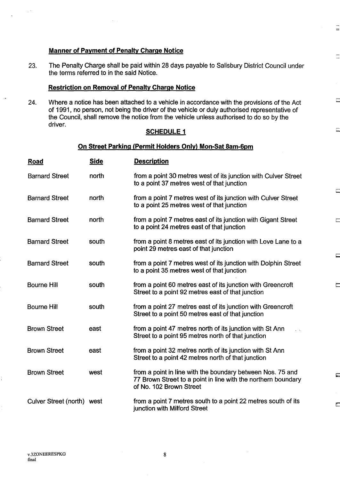### Manner of Payment of Penalty Charge Notice

23. The Penalty Charge shall be paid within 28 days payable to Salisbury District Council under the terms referred to in the said Notice .

 $=$ 

 $\sim$ 

#### Restriction on Removal of Penalty Charge Notice

24. Where a notice has been attached to a vehicle in accordance with the provisions of the Act of 1991, no person, not being the driver of the vehicle or duly authorised representative of the Council, shall remove the notice from the vehicle unless authorised to do so by the driver.

#### **SCHEDULE 1**

#### On Street Parking (Permit Holders Only) Mon-Sat 8am-6pm

| <b>Road</b>                | <b>Side</b> | <b>Description</b>                                                                                                                                     |
|----------------------------|-------------|--------------------------------------------------------------------------------------------------------------------------------------------------------|
| <b>Barnard Street</b>      | north       | from a point 30 metres west of its junction with Culver Street<br>to a point 37 metres west of that junction                                           |
| <b>Barnard Street</b>      | north       | from a point 7 metres west of its junction with Culver Street<br>to a point 25 metres west of that junction                                            |
| <b>Barnard Street</b>      | north       | from a point 7 metres east of its junction with Gigant Street<br>to a point 24 metres east of that junction                                            |
| <b>Barnard Street</b>      | south       | from a point 8 metres east of its junction with Love Lane to a<br>point 29 metres east of that junction                                                |
| <b>Barnard Street</b>      | south       | from a point 7 metres west of its junction with Dolphin Street<br>to a point 35 metres west of that junction                                           |
| <b>Bourne Hill</b>         | south       | from a point 60 metres east of its junction with Greencroft<br>Street to a point 92 metres east of that junction                                       |
| <b>Bourne Hill</b>         | south       | from a point 27 metres east of its junction with Greencroft<br>Street to a point 50 metres east of that junction                                       |
| <b>Brown Street</b>        | east        | from a point 47 metres north of its junction with St Ann<br>i s<br>Street to a point 95 metres north of that junction                                  |
| <b>Brown Street</b>        | east        | from a point 32 metres north of its junction with St Ann<br>Street to a point 42 metres north of that junction                                         |
| <b>Brown Street</b>        | west        | from a point in line with the boundary between Nos. 75 and<br>77 Brown Street to a point in line with the northern boundary<br>of No. 102 Brown Street |
| Culver Street (north) west |             | from a point 7 metres south to a point 22 metres south of its<br>junction with Milford Street                                                          |

8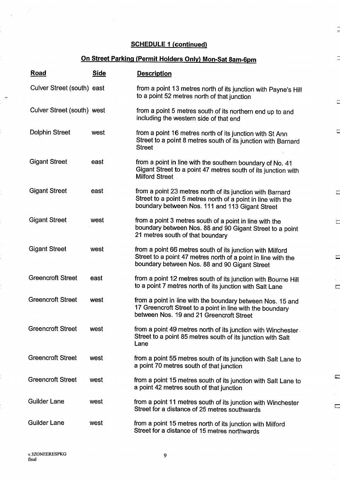J

÷

 $\Box$ 

 $\frac{1}{2}$ 

Ë

 $\equiv$ 

 $\equiv$ 

 $\overline{\phantom{a}}$ 

 $\frac{1}{2}$ 

# On Street Parking (Permit Holders Only) Mon-Sat 8am-6pm

| <b>Road</b>                | <b>Side</b> | <b>Description</b>                                                                                                                                                           |
|----------------------------|-------------|------------------------------------------------------------------------------------------------------------------------------------------------------------------------------|
| Culver Street (south) east |             | from a point 13 metres north of its junction with Payne's Hill<br>to a point 52 metres north of that junction                                                                |
| Culver Street (south) west |             | from a point 5 metres south of its northern end up to and<br>including the western side of that end                                                                          |
| <b>Dolphin Street</b>      | west        | from a point 16 metres north of its junction with St Ann<br>Street to a point 8 metres south of its junction with Barnard<br><b>Street</b>                                   |
| <b>Gigant Street</b>       | east        | from a point in line with the southern boundary of No. 41<br>Gigant Street to a point 47 metres south of its junction with<br><b>Milford Street</b>                          |
| <b>Gigant Street</b>       | east        | from a point 23 metres north of its junction with Barnard<br>Street to a point 5 metres north of a point in line with the<br>boundary between Nos. 111 and 113 Gigant Street |
| <b>Gigant Street</b>       | west        | from a point 3 metres south of a point in line with the<br>boundary between Nos. 88 and 90 Gigant Street to a point<br>21 metres south of that boundary                      |
| <b>Gigant Street</b>       | west        | from a point 66 metres south of its junction with Milford<br>Street to a point 47 metres north of a point in line with the<br>boundary between Nos. 88 and 90 Gigant Street  |
| <b>Greencroft Street</b>   | east        | from a point 12 metres south of its junction with Bourne Hill<br>to a point 7 metres north of its junction with Salt Lane                                                    |
| <b>Greencroft Street</b>   | west        | from a point in line with the boundary between Nos. 15 and<br>17 Greencroft Street to a point in line with the boundary<br>between Nos. 19 and 21 Greencroft Street          |
| <b>Greencroft Street</b>   | west        | from a point 49 metres north of its junction with Winchester<br>Street to a point 85 metres south of its junction with Salt<br>Lane                                          |
| <b>Greencroft Street</b>   | west        | from a point 55 metres south of its junction with Salt Lane to<br>a point 70 metres south of that junction                                                                   |
| <b>Greencroft Street</b>   | west        | from a point 15 metres south of its junction with Salt Lane to<br>a point 42 metres south of that junction                                                                   |
| <b>Guilder Lane</b>        | west        | from a point 11 metres south of its junction with Winchester<br>Street for a distance of 25 metres southwards                                                                |
| <b>Guilder Lane</b>        | west        | from a point 15 metres north of its junction with Milford<br>Street for a distance of 15 metres northwards                                                                   |

 $\frac{1}{2}$   $\lambda$ 

W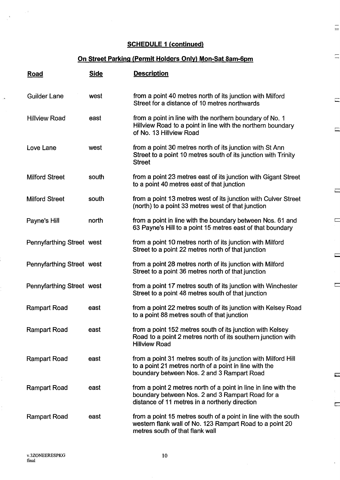$\equiv$ 

 $\equiv$ 

 $\equiv$ 

 $\equiv$ 

 $\Box$ 

 $\Box$ 

 $\Box$ 

.<br>Grim

 $\overline{\mathbb{C}}$ 

÷.

## On Street Parking (Permit Holders Only) Mon-Sat 8am-6pm

| <b>Road</b>               | <b>Side</b> | <b>Description</b>                                                                                                                                                     |
|---------------------------|-------------|------------------------------------------------------------------------------------------------------------------------------------------------------------------------|
| <b>Guilder Lane</b>       | west        | from a point 40 metres north of its junction with Milford<br>Street for a distance of 10 metres northwards                                                             |
| <b>Hillview Road</b>      | east        | from a point in line with the northern boundary of No. 1<br>Hillview Road to a point in line with the northern boundary<br>of No. 13 Hillview Road                     |
| Love Lane                 | west        | from a point 30 metres north of its junction with St Ann<br>Street to a point 10 metres south of its junction with Trinity<br><b>Street</b>                            |
| <b>Milford Street</b>     | south       | from a point 23 metres east of its junction with Gigant Street<br>to a point 40 metres east of that junction                                                           |
| <b>Milford Street</b>     | south       | from a point 13 metres west of its junction with Culver Street<br>(north) to a point 33 metres west of that junction                                                   |
| Payne's Hill              | north       | from a point in line with the boundary between Nos. 61 and<br>63 Payne's Hill to a point 15 metres east of that boundary                                               |
| Pennyfarthing Street west |             | from a point 10 metres north of its junction with Milford<br>Street to a point 22 metres north of that junction                                                        |
| Pennyfarthing Street west |             | from a point 28 metres north of its junction with Milford<br>Street to a point 36 metres north of that junction                                                        |
| Pennyfarthing Street west |             | from a point 17 metres south of its junction with Winchester<br>Street to a point 48 metres south of that junction                                                     |
| <b>Rampart Road</b>       | east        | from a point 22 metres south of its junction with Kelsey Road<br>to a point 88 metres south of that junction                                                           |
| <b>Rampart Road</b>       | east        | from a point 152 metres south of its junction with Kelsey<br>Road to a point 2 metres north of its southern junction with<br><b>Hillview Road</b>                      |
| <b>Rampart Road</b>       | east        | from a point 31 metres south of its junction with Milford Hill<br>to a point 21 metres north of a point in line with the<br>boundary between Nos. 2 and 3 Rampart Road |
| <b>Rampart Road</b>       | east        | from a point 2 metres north of a point in line in line with the<br>boundary between Nos. 2 and 3 Rampart Road for a<br>distance of 11 metres in a northerly direction  |
| Rampart Road              | east        | from a point 15 metres south of a point in line with the south<br>western flank wall of No. 123 Rampart Road to a point 20<br>metres south of that flank wall          |

J,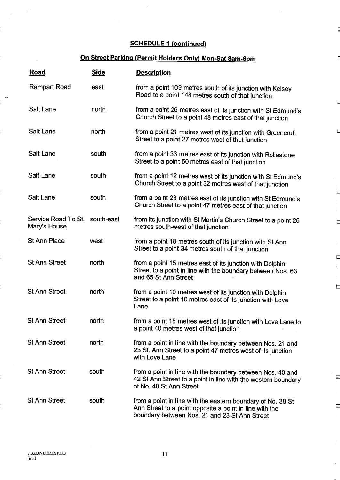# On Street Parking (Permit Holders Only) Mon-Sat 8am-6pm

F

 $\Box$ 

È

 $\Box$ 

 $\overline{\phantom{a}}$ 

.<br>تنقذ

È

| Road                                | <b>Side</b> | <b>Description</b>                                                                                                                                                      |
|-------------------------------------|-------------|-------------------------------------------------------------------------------------------------------------------------------------------------------------------------|
| <b>Rampart Road</b>                 | east        | from a point 109 metres south of its junction with Kelsey<br>Road to a point 148 metres south of that junction                                                          |
| Salt Lane                           | north       | from a point 26 metres east of its junction with St Edmund's<br>Church Street to a point 48 metres east of that junction                                                |
| Salt Lane                           | north       | from a point 21 metres west of its junction with Greencroft<br>Street to a point 27 metres west of that junction                                                        |
| <b>Salt Lane</b>                    | south       | from a point 33 metres east of its junction with Rollestone<br>Street to a point 50 metres east of that junction                                                        |
| Salt Lane                           | south       | from a point 12 metres west of its junction with St Edmund's<br>Church Street to a point 32 metres west of that junction                                                |
| Salt Lane                           | south       | from a point 23 metres east of its junction with St Edmund's<br>Church Street to a point 47 metres east of that junction                                                |
| Service Road To St.<br>Mary's House | south-east  | from its junction with St Martin's Church Street to a point 26<br>metres south-west of that junction                                                                    |
| <b>St Ann Place</b>                 | west        | from a point 18 metres south of its junction with St Ann<br>Street to a point 34 metres south of that junction                                                          |
| <b>St Ann Street</b>                | north       | from a point 15 metres east of its junction with Dolphin<br>Street to a point in line with the boundary between Nos. 63<br>and 65 St Ann Street                         |
| <b>St Ann Street</b>                | north       | from a point 10 metres west of its junction with Dolphin<br>Street to a point 10 metres east of its junction with Love<br>Lane                                          |
| <b>St Ann Street</b>                | north       | from a point 15 metres west of its junction with Love Lane to<br>a point 40 metres west of that junction                                                                |
| <b>St Ann Street</b>                | north       | from a point in line with the boundary between Nos. 21 and<br>23 St. Ann Street to a point 47 metres west of its junction<br>with Love Lane                             |
| <b>St Ann Street</b>                | south       | from a point in line with the boundary between Nos. 40 and<br>42 St Ann Street to a point in line with the western boundary<br>of No. 40 St Ann Street                  |
| <b>St Ann Street</b>                | south       | from a point in line with the eastern boundary of No. 38 St<br>Ann Street to a point opposite a point in line with the<br>boundary between Nos. 21 and 23 St Ann Street |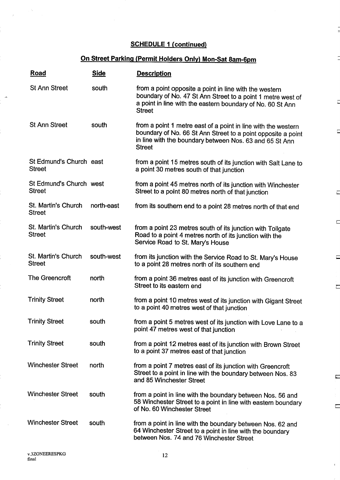# On Street Parking (Permit Holders Only) Mon-Sat 8am-6pm

Ē

 $\Box$ 

 $\Box$ 

 $\Box$ 

 $\overline{\phantom{a}}$ 

 $\frac{1}{2}$ 

 $\overline{\mathbb{C}}$ 

i.

| Road                                     | <b>Side</b> | <b>Description</b>                                                                                                                                                                                        |
|------------------------------------------|-------------|-----------------------------------------------------------------------------------------------------------------------------------------------------------------------------------------------------------|
| <b>St Ann Street</b>                     | south       | from a point opposite a point in line with the western<br>boundary of No. 47 St Ann Street to a point 1 metre west of<br>a point in line with the eastern boundary of No. 60 St Ann<br><b>Street</b>      |
| <b>St Ann Street</b>                     | south       | from a point 1 metre east of a point in line with the western<br>boundary of No. 66 St Ann Street to a point opposite a point<br>in line with the boundary between Nos. 63 and 65 St Ann<br><b>Street</b> |
| St Edmund's Church east<br><b>Street</b> |             | from a point 15 metres south of its junction with Salt Lane to<br>a point 30 metres south of that junction                                                                                                |
| St Edmund's Church west<br><b>Street</b> |             | from a point 45 metres north of its junction with Winchester<br>Street to a point 80 metres north of that junction                                                                                        |
| St. Martin's Church<br><b>Street</b>     | north-east  | from its southern end to a point 28 metres north of that end                                                                                                                                              |
| St. Martin's Church<br><b>Street</b>     | south-west  | from a point 23 metres south of its junction with Tollgate<br>Road to a point 4 metres north of its junction with the<br>Service Road to St. Mary's House                                                 |
| St. Martin's Church<br><b>Street</b>     | south-west  | from its junction with the Service Road to St. Mary's House<br>to a point 28 metres north of its southern end                                                                                             |
| <b>The Greencroft</b>                    | north       | from a point 36 metres east of its junction with Greencroft<br>Street to its eastern end                                                                                                                  |
| <b>Trinity Street</b>                    | north       | from a point 10 metres west of its junction with Gigant Street<br>to a point 40 metres west of that junction                                                                                              |
| <b>Trinity Street</b>                    | south       | from a point 5 metres west of its junction with Love Lane to a<br>point 47 metres west of that junction                                                                                                   |
| <b>Trinity Street</b>                    | south       | from a point 12 metres east of its junction with Brown Street<br>to a point 37 metres east of that junction                                                                                               |
| <b>Winchester Street</b>                 | north       | from a point 7 metres east of its junction with Greencroft<br>Street to a point in line with the boundary between Nos. 83<br>and 85 Winchester Street                                                     |
| <b>Winchester Street</b>                 | south       | from a point in line with the boundary between Nos. 56 and<br>58 Winchester Street to a point in line with eastern boundary<br>of No. 60 Winchester Street                                                |
| <b>Winchester Street</b>                 | south       | from a point in line with the boundary between Nos. 62 and<br>64 Winchester Street to a point in line with the boundary<br>between Nos. 74 and 76 Winchester Street                                       |